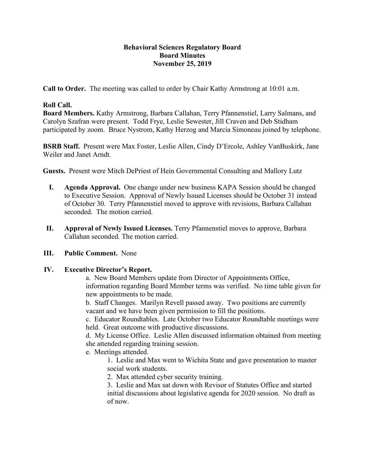# **Behavioral Sciences Regulatory Board Board Minutes November 25, 2019**

**Call to Order.** The meeting was called to order by Chair Kathy Armstrong at 10:01 a.m.

# **Roll Call.**

**Board Members.** Kathy Armstrong, Barbara Callahan, Terry Pfannenstiel, Larry Salmans, and Carolyn Szafran were present. Todd Frye, Leslie Sewester, Jill Craven and Deb Stidham participated by zoom. Bruce Nystrom, Kathy Herzog and Marcia Simoneau joined by telephone.

**BSRB Staff.** Present were Max Foster, Leslie Allen, Cindy D'Ercole, Ashley VanBuskirk, Jane Weiler and Janet Arndt.

**Guests.** Present were Mitch DePriest of Hein Governmental Consulting and Mallory Lutz

- **I. Agenda Approval.** One change under new business KAPA Session should be changed to Executive Session. Approval of Newly Issued Licenses should be October 31 instead of October 30. Terry Pfannenstiel moved to approve with revisions, Barbara Callahan seconded. The motion carried.
- **II. Approval of Newly Issued Licenses.** Terry Pfannenstiel moves to approve, Barbara Callahan seconded. The motion carried.

## **III. Public Comment.** None

## **IV. Executive Director's Report.**

a. New Board Members update from Director of Appointments Office, information regarding Board Member terms was verified. No time table given for new appointments to be made.

b. Staff Changes. Marilyn Revell passed away. Two positions are currently vacant and we have been given permission to fill the positions.

c. Educator Roundtables. Late October two Educator Roundtable meetings were held. Great outcome with productive discussions.

d. My License Office. Leslie Allen discussed information obtained from meeting she attended regarding training session.

e. Meetings attended.

1. Leslie and Max went to Wichita State and gave presentation to master social work students.

2. Max attended cyber security training.

3. Leslie and Max sat down with Revisor of Statutes Office and started initial discussions about legislative agenda for 2020 session. No draft as of now.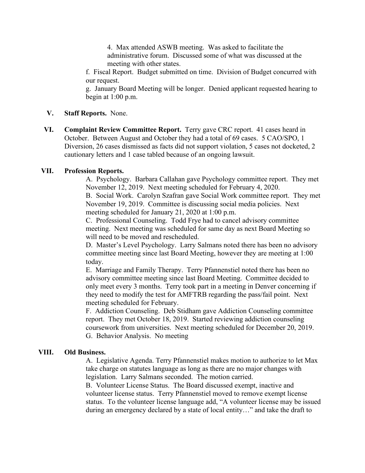4. Max attended ASWB meeting. Was asked to facilitate the administrative forum. Discussed some of what was discussed at the meeting with other states.

f. Fiscal Report. Budget submitted on time. Division of Budget concurred with our request.

g. January Board Meeting will be longer. Denied applicant requested hearing to begin at 1:00 p.m.

#### **V. Staff Reports.** None.

**VI. Complaint Review Committee Report.** Terry gave CRC report. 41 cases heard in October. Between August and October they had a total of 69 cases. 5 CAO/SPO, 1 Diversion, 26 cases dismissed as facts did not support violation, 5 cases not docketed, 2 cautionary letters and 1 case tabled because of an ongoing lawsuit.

#### **VII. Profession Reports.**

A. Psychology. Barbara Callahan gave Psychology committee report. They met November 12, 2019. Next meeting scheduled for February 4, 2020.

B. Social Work. Carolyn Szafran gave Social Work committee report. They met November 19, 2019. Committee is discussing social media policies. Next meeting scheduled for January 21, 2020 at 1:00 p.m.

C. Professional Counseling. Todd Frye had to cancel advisory committee meeting. Next meeting was scheduled for same day as next Board Meeting so will need to be moved and rescheduled.

D. Master's Level Psychology. Larry Salmans noted there has been no advisory committee meeting since last Board Meeting, however they are meeting at 1:00 today.

E. Marriage and Family Therapy. Terry Pfannenstiel noted there has been no advisory committee meeting since last Board Meeting. Committee decided to only meet every 3 months. Terry took part in a meeting in Denver concerning if they need to modify the test for AMFTRB regarding the pass/fail point. Next meeting scheduled for February.

F. Addiction Counseling. Deb Stidham gave Addiction Counseling committee report. They met October 18, 2019. Started reviewing addiction counseling coursework from universities. Next meeting scheduled for December 20, 2019. G. Behavior Analysis. No meeting

## **VIII. Old Business.**

A. Legislative Agenda. Terry Pfannenstiel makes motion to authorize to let Max take charge on statutes language as long as there are no major changes with legislation. Larry Salmans seconded. The motion carried.

B. Volunteer License Status. The Board discussed exempt, inactive and volunteer license status. Terry Pfannenstiel moved to remove exempt license status. To the volunteer license language add, "A volunteer license may be issued during an emergency declared by a state of local entity…" and take the draft to